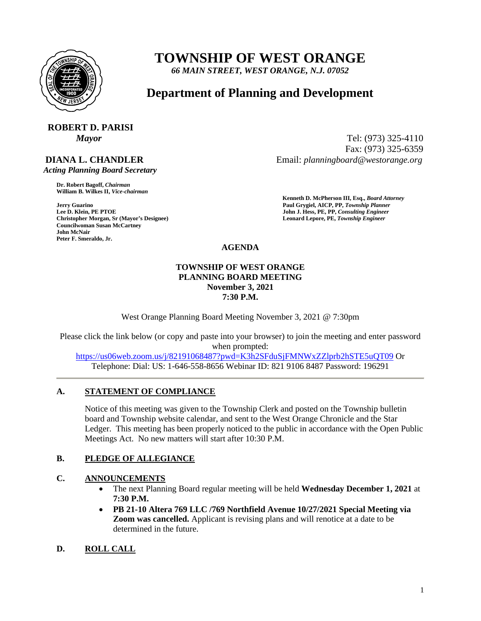

# **TOWNSHIP OF WEST ORANGE**

*66 MAIN STREET, WEST ORANGE, N.J. 07052*

## **Department of Planning and Development**

# **ROBERT D. PARISI**

## **DIANA L. CHANDLER**

 *Acting Planning Board Secretary*

**Dr. Robert Bagoff,** *Chairman*  **William B. Wilkes II,** *Vice-chairman* 

**Christopher Morgan, Sr (Mayor's Designee) Leonard Lepore, PE,** *Township Engineer*  **Councilwoman Susan McCartney John McNair Peter F. Smeraldo, Jr.** 

*Mayor* Tel: (973) 325-4110 Fax: (973) 325-6359 Email: *planningboard@westorange.org*

**Kenneth D. McPherson III, Esq.,** *Board Attorney*  **Jerry Guarino Paul Grygiel, AICP, PP,** *Township Planner*  **John J. Hess, PE, PP,** *Consulting Engineer* 

**AGENDA**

#### **TOWNSHIP OF WEST ORANGE PLANNING BOARD MEETING November 3, 2021 7:30 P.M.**

West Orange Planning Board Meeting November 3, 2021 @ 7:30pm

Please click the link below (or copy and paste into your browser) to join the meeting and enter password when prompted:

<https://us06web.zoom.us/j/82191068487?pwd=K3h2SFduSjFMNWxZZlprb2hSTE5uQT09> Or Telephone: Dial: US: 1-646-558-8656 Webinar ID: 821 9106 8487 Password: 196291

### **A. STATEMENT OF COMPLIANCE**

Notice of this meeting was given to the Township Clerk and posted on the Township bulletin board and Township website calendar, and sent to the West Orange Chronicle and the Star Ledger. This meeting has been properly noticed to the public in accordance with the Open Public Meetings Act. No new matters will start after 10:30 P.M.

### **B. PLEDGE OF ALLEGIANCE**

### **C. ANNOUNCEMENTS**

- The next Planning Board regular meeting will be held **Wednesday December 1, 2021** at **7:30 P.M.**
- **PB 21-10 Altera 769 LLC /769 Northfield Avenue 10/27/2021 Special Meeting via Zoom was cancelled.** Applicant is revising plans and will renotice at a date to be determined in the future.

### **D. ROLL CALL**